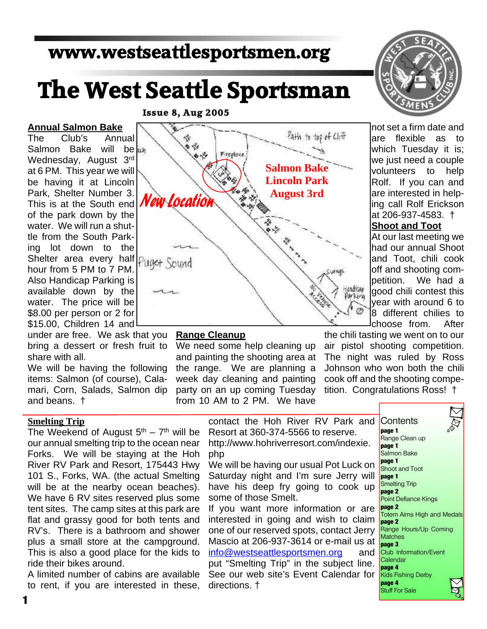# **www.westseattlesportsmen.org**

# **The West Seattle Sportsman**

#### **Issue 8, Aug 2005**

**Annual Salmon Bake** The Club's Annual Salmon Bake will be Wednesday, August 3rd at 6 PM. This year we will be having it at Lincoln Park, Shelter Number 3. This is at the South end of the park down by the water. We will run a shuttle from the South Parking lot down to the Shelter area every half hour from 5 PM to 7 PM. Also Handicap Parking is available down by the water. The price will be \$8.00 per person or 2 for \$15.00, Children 14 and

under are free. We ask that you bring a dessert or fresh fruit to share with all.

We will be having the following items: Salmon (of course), Calamari, Corn, Salads, Salmon dip and beans. †

#### **Smelting Trip**

The Weekend of August  $5<sup>th</sup> - 7<sup>th</sup>$  will be our annual smelting trip to the ocean near Forks. We will be staying at the Hoh River RV Park and Resort, 175443 Hwy 101 S., Forks, WA. (the actual Smelting will be at the nearby ocean beaches). We have 6 RV sites reserved plus some tent sites. The camp sites at this park are flat and grassy good for both tents and RV's. There is a bathroom and shower plus a small store at the campground. This is also a good place for the kids to ride their bikes around.

A limited number of cabins are available to rent, if you are interested in these,



#### **Range Cleanup**

We need some help cleaning up and painting the shooting area at the range. We are planning a week day cleaning and painting party on an up coming Tuesday from 10 AM to 2 PM. We have

directions. †



not set a firm date and are flexible as to which Tuesday it is; we just need a couple volunteers to help Rolf. If you can and are interested in helping call Rolf Erickson at 206-937-4583. †

#### **Shoot and Toot**

At our last meeting we had our annual Shoot and Toot, chili cook off and shooting competition. We had a good chili contest this year with around 6 to 8 different chilies to choose from. After

the chili tasting we went on to our air pistol shooting competition. The night was ruled by Ross Johnson who won both the chili cook off and the shooting competition. Congratulations Ross! †

contact the Hoh River RV Park and Resort at 360-374-5566 to reserve. http://www.hohriverresort.com/indexie.

php We will be having our usual Pot Luck on

Saturday night and I'm sure Jerry will have his deep fry going to cook up some of those Smelt.

If you want more information or are interested in going and wish to claim one of our reserved spots, contact Jerry Mascio at 206-937-3614 or e-mail us at info@westseattlesportsmen.org and put "Smelting Trip" in the subject line. See our web site's Event Calendar for

**Contents page 1** Range Clean up **page 1** Salmon Bake **page 1** Shoot and Toot **page 1** Smelting Trip **page 2** Point Defiance Kings **page 2** Totem Aims High and Medals **page 2** Range Hours/Up Coming **Matches page 3** Club Information/Event **Calendar page 4** Kids Fishing Derby **page 4** Stuff For Sale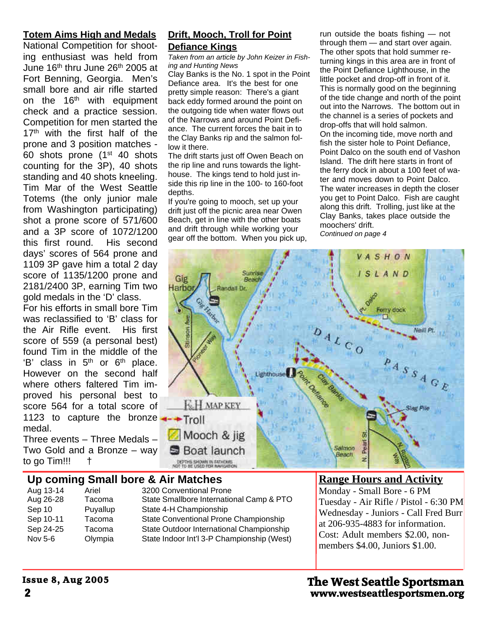#### **Totem Aims High and Medals**

National Competition for shooting enthusiast was held from June 16<sup>th</sup> thru June 26<sup>th</sup> 2005 at Fort Benning, Georgia. Men's small bore and air rifle started on the 16<sup>th</sup> with equipment check and a practice session. Competition for men started the 17<sup>th</sup> with the first half of the prone and 3 position matches -  $60$  shots prone (1st 40 shots counting for the 3P), 40 shots standing and 40 shots kneeling. Tim Mar of the West Seattle Totems (the only junior male from Washington participating) shot a prone score of 571/600 and a 3P score of 1072/1200 this first round. His second days' scores of 564 prone and 1109 3P gave him a total 2 day score of 1135/1200 prone and 2181/2400 3P, earning Tim two gold medals in the 'D' class.

For his efforts in small bore Tim was reclassified to 'B' class for the Air Rifle event. His first score of 559 (a personal best) found Tim in the middle of the  $'B'$  class in  $5<sup>th</sup>$  or  $6<sup>th</sup>$  place. However on the second half where others faltered Tim improved his personal best to score 564 for a total score of 1123 to capture the bronze  $\rightarrow$ Troll medal.

Three events – Three Medals – Two Gold and a Bronze – way to go Tim!!! †

#### **Drift, Mooch, Troll for Point Defiance Kings**

*Taken from an article by John Keizer in Fishing and Hunting News*

Clay Banks is the No. 1 spot in the Point Defiance area. It's the best for one pretty simple reason: There's a giant back eddy formed around the point on the outgoing tide when water flows out of the Narrows and around Point Defiance. The current forces the bait in to the Clay Banks rip and the salmon follow it there.

The drift starts just off Owen Beach on the rip line and runs towards the lighthouse. The kings tend to hold just inside this rip line in the 100- to 160-foot depths.

If you're going to mooch, set up your drift just off the picnic area near Owen Beach, get in line with the other boats and drift through while working your gear off the bottom. When you pick up, run outside the boats fishing — not through them — and start over again. The other spots that hold summer returning kings in this area are in front of the Point Defiance Lighthouse, in the little pocket and drop-off in front of it. This is normally good on the beginning of the tide change and north of the point out into the Narrows. The bottom out in the channel is a series of pockets and drop-offs that will hold salmon. On the incoming tide, move north and fish the sister hole to Point Defiance, Point Dalco on the south end of Vashon Island. The drift here starts in front of the ferry dock in about a 100 feet of water and moves down to Point Dalco. The water increases in depth the closer you get to Point Dalco. Fish are caught along this drift. Trolling, just like at the Clay Banks, takes place outside the moochers' drift. *Continued on page 4*



# **Up coming Small bore & Air Matches**

| Aug 13-14 | Ariel    |  |
|-----------|----------|--|
| Aug 26-28 | Tacoma   |  |
| Sep 10    | Puyallup |  |
| Sep 10-11 | Tacoma   |  |
| Sep 24-25 | Tacoma   |  |
| Nov 5-6   | Olympia  |  |

3200 Conventional Prone State Smallbore International Camp & PTO State 4-H Championship State Conventional Prone Championship State Outdoor International Championship State Indoor Int'l 3-P Championship (West)

### **Range Hours and Activity**

Monday - Small Bore - 6 PM Tuesday - Air Rifle / Pistol - 6:30 PM Wednesday - Juniors - Call Fred Burr at 206-935-4883 for information. Cost: Adult members \$2.00, nonmembers \$4.00, Juniors \$1.00.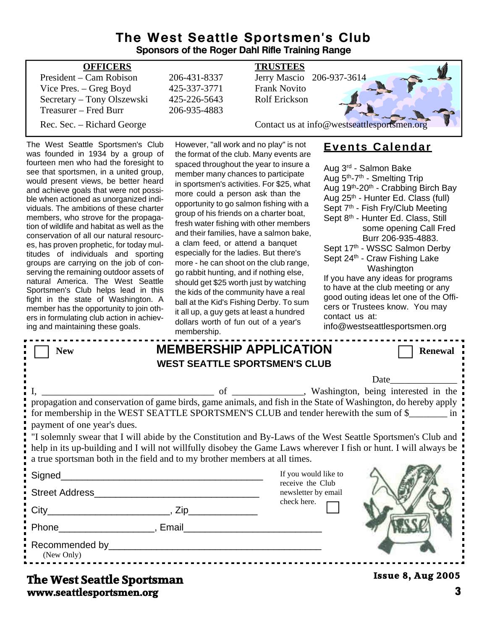## **The West Seattle Sportsmen's Club Sponsors of the Roger Dahl Rifle Training Range**

| <b>OFFICERS</b>            |              | <b>TRUSTEES</b>                             |
|----------------------------|--------------|---------------------------------------------|
| President – Cam Robison    | 206-431-8337 | Jerry Mascio 206-937-3614                   |
| Vice Pres. – Greg Boyd     | 425-337-3771 | <b>Frank Novito</b>                         |
| Secretary – Tony Olszewski | 425-226-5643 | <b>Rolf Erickson</b>                        |
| Treasurer – Fred Burr      | 206-935-4883 |                                             |
| Rec. Sec. – Richard George |              | Contact us at info@westseattlesportsmen.org |
|                            |              |                                             |

The West Seattle Sportsmen's Club was founded in 1934 by a group of fourteen men who had the foresight to see that sportsmen, in a united group, would present views, be better heard and achieve goals that were not possible when actioned as unorganized individuals. The ambitions of these charter members, who strove for the propagation of wildlife and habitat as well as the conservation of all our natural resources, has proven prophetic, for today multitudes of individuals and sporting groups are carrying on the job of conserving the remaining outdoor assets of natural America. The West Seattle Sportsmen's Club helps lead in this fight in the state of Washington. A member has the opportunity to join others in formulating club action in achieving and maintaining these goals.

However, "all work and no play" is not the format of the club. Many events are spaced throughout the year to insure a member many chances to participate in sportsmen's activities. For \$25, what more could a person ask than the opportunity to go salmon fishing with a group of his friends on a charter boat, fresh water fishing with other members and their families, have a salmon bake, a clam feed, or attend a banquet especially for the ladies. But there's more - he can shoot on the club range, go rabbit hunting, and if nothing else, should get \$25 worth just by watching the kids of the community have a real ball at the Kid's Fishing Derby. To sum it all up, a guy gets at least a hundred dollars worth of fun out of a year's membership.

# **Events Calendar**

Aug 3rd - Salmon Bake Aug 5th-7th - Smelting Trip Aug 19th-20th - Crabbing Birch Bay Aug 25th - Hunter Ed. Class (full) Sept 7<sup>th</sup> - Fish Fry/Club Meeting Sept 8<sup>th</sup> - Hunter Ed. Class, Still some opening Call Fred Burr 206-935-4883. Sept 17th - WSSC Salmon Derby Sept 24<sup>th</sup> - Craw Fishing Lake Washington If you have any ideas for programs to have at the club meeting or any good outing ideas let one of the Officers or Trustees know. You may contact us at:

info@westseattlesportsmen.org

| <b>New</b>                                                                                                                                                                                                                                                                                                     |                                                                   | <b>MEMBERSHIP APPLICATION</b><br><b>WEST SEATTLE SPORTSMEN'S CLUB</b>                                                                                                                                                                                        | <b>Renewal</b>           |  |
|----------------------------------------------------------------------------------------------------------------------------------------------------------------------------------------------------------------------------------------------------------------------------------------------------------------|-------------------------------------------------------------------|--------------------------------------------------------------------------------------------------------------------------------------------------------------------------------------------------------------------------------------------------------------|--------------------------|--|
|                                                                                                                                                                                                                                                                                                                |                                                                   |                                                                                                                                                                                                                                                              | Date                     |  |
| payment of one year's dues.                                                                                                                                                                                                                                                                                    |                                                                   | of _________, Washington, being interested in the<br>propagation and conservation of game birds, game animals, and fish in the State of Washington, do hereby apply<br>for membership in the WEST SEATTLE SPORTSMEN'S CLUB and tender herewith the sum of \$ |                          |  |
| If solemnly swear that I will abide by the Constitution and By-Laws of the West Seattle Sportsmen's Club and<br>help in its up-building and I will not willfully disobey the Game Laws wherever I fish or hunt. I will always be<br>a true sportsman both in the field and to my brother members at all times. |                                                                   |                                                                                                                                                                                                                                                              |                          |  |
|                                                                                                                                                                                                                                                                                                                | <u> 1990 - Johann John Stone, mars eta biztanleria (h. 1900).</u> | If you would like to                                                                                                                                                                                                                                         |                          |  |
| Street Address                                                                                                                                                                                                                                                                                                 |                                                                   | receive the Club<br>newsletter by email                                                                                                                                                                                                                      |                          |  |
|                                                                                                                                                                                                                                                                                                                |                                                                   | check here.                                                                                                                                                                                                                                                  |                          |  |
| Phone Reserves and Phone Reserves and Phone Reserves and Phone Reserves and Phone Reserves and Phone Reserves and Phone Reserves and Phone Reserves and Phone Reserves and Phone Reserves and Phone Reserves and Phone Reserve                                                                                 |                                                                   |                                                                                                                                                                                                                                                              |                          |  |
| Recommended by Participate and Comment of the Comment of the Comment of the Comment of the Comment of the Comm<br>(New Only)                                                                                                                                                                                   |                                                                   |                                                                                                                                                                                                                                                              |                          |  |
| Tha Wast Saattla Snortsman                                                                                                                                                                                                                                                                                     |                                                                   |                                                                                                                                                                                                                                                              | <b>Issue 8, Aug 2005</b> |  |

# **www.seattlesportsmen.org 3 The West Seattle Sportsman**